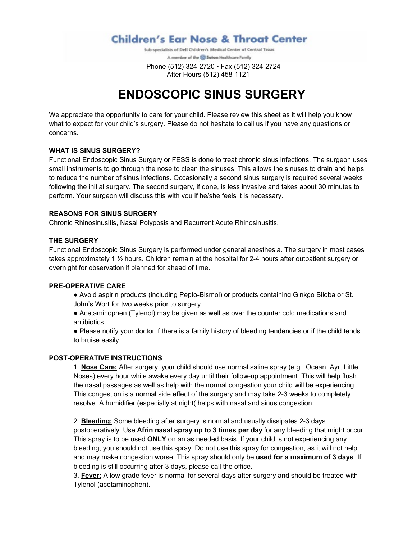**Children's Ear Nose & Throat Center** 

Sub-specialists of Dell Children's Medical Center of Central Texas A member of the @ Seton Healthcare Family

 Phone (512) 324-2720 • Fax (512) 324-2724 After Hours (512) 458-1121

# **ENDOSCOPIC SINUS SURGERY**

We appreciate the opportunity to care for your child. Please review this sheet as it will help you know what to expect for your child's surgery. Please do not hesitate to call us if you have any questions or concerns.

## **WHAT IS SINUS SURGERY?**

Functional Endoscopic Sinus Surgery or FESS is done to treat chronic sinus infections. The surgeon uses small instruments to go through the nose to clean the sinuses. This allows the sinuses to drain and helps to reduce the number of sinus infections. Occasionally a second sinus surgery is required several weeks following the initial surgery. The second surgery, if done, is less invasive and takes about 30 minutes to perform. Your surgeon will discuss this with you if he/she feels it is necessary.

## **REASONS FOR SINUS SURGERY**

Chronic Rhinosinusitis, Nasal Polyposis and Recurrent Acute Rhinosinusitis.

## **THE SURGERY**

Functional Endoscopic Sinus Surgery is performed under general anesthesia. The surgery in most cases takes approximately 1 ½ hours. Children remain at the hospital for 2-4 hours after outpatient surgery or overnight for observation if planned for ahead of time.

#### **PRE-OPERATIVE CARE**

● Avoid aspirin products (including Pepto-Bismol) or products containing Ginkgo Biloba or St. John's Wort for two weeks prior to surgery.

• Acetaminophen (Tylenol) may be given as well as over the counter cold medications and antibiotics.

• Please notify your doctor if there is a family history of bleeding tendencies or if the child tends to bruise easily.

#### **POST-OPERATIVE INSTRUCTIONS**

1. **Nose Care:** After surgery, your child should use normal saline spray (e.g., Ocean, Ayr, Little Noses) every hour while awake every day until their follow-up appointment. This will help flush the nasal passages as well as help with the normal congestion your child will be experiencing. This congestion is a normal side effect of the surgery and may take 2-3 weeks to completely resolve. A humidifier (especially at night( helps with nasal and sinus congestion.

2. **Bleeding:** Some bleeding after surgery is normal and usually dissipates 2-3 days postoperatively. Use **Afrin nasal spray up to 3 times per day** for any bleeding that might occur. This spray is to be used **ONLY** on an as needed basis. If your child is not experiencing any bleeding, you should not use this spray. Do not use this spray for congestion, as it will not help and may make congestion worse. This spray should only be **used for a maximum of 3 days**. If bleeding is still occurring after 3 days, please call the office.

3. **Fever:** A low grade fever is normal for several days after surgery and should be treated with Tylenol (acetaminophen).